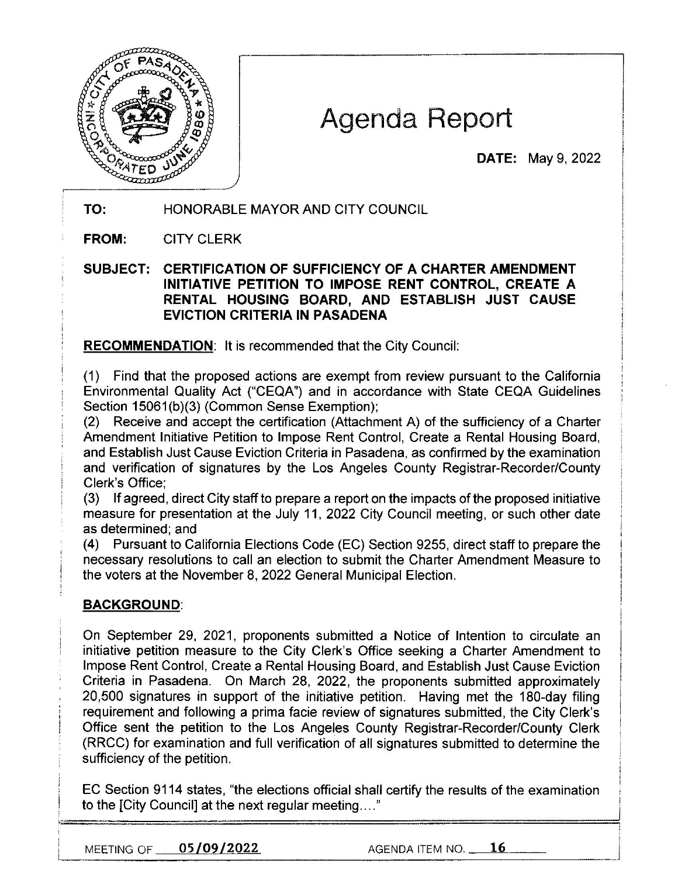

# Agenda Report

**DATE:** May 9, 2022

# **TO:** HONORABLE MAYOR AND CITY COUNCIL

**FROM:** CITY CLERK

## **SUBJECT: CERTIFICATION OF SUFFICIENCY OF A CHARTER AMENDMENT INITIATIVE PETITION TO IMPOSE RENT CONTROL, CREATE A RENTAL HOUSING BOARD, AND ESTABLISH JUST CAUSE EVICTION CRITERIA IN PASADENA**

**RECOMMENDATION:** It is recommended that the City Council:

(1) Find that the proposed actions are exempt from review pursuant to the California Environmental Quality Act ("CEQA") and in accordance with State CEQA Guidelines Section 15061(b)(3) (Common Sense Exemption);

(2) Receive and accept the certification (Attachment A) of the sufficiency of a Charter Amendment Initiative Petition to Impose Rent Control, Create a Rental Housing Board, and Establish Just Cause Eviction Criteria in Pasadena, as confirmed by the examination and verification of signatures by the Los Angeles County Registrar-Recorder/County Clerk's Office;

(3) If agreed, direct City staff to prepare a report on the impacts of the proposed initiative measure for presentation at the July 11 , 2022 City Council meeting, or such other date as determined; and

(4) Pursuant to California Elections Code (EC) Section 9255, direct staff to prepare the necessary resolutions to call an election to submit the Charter Amendment Measure to the voters at the November 8, 2022 General Municipal Election.

## **BACKGROUND:**

On September 29, 2021, proponents submitted a Notice of Intention to circulate an initiative petition measure to the City Clerk's Office seeking a Charter Amendment to Impose Rent Control, Create a Rental Housing Board, and Establish Just Cause Eviction Criteria in Pasadena. On March 28, 2022, the proponents submitted approximately 20,500 signatures in support of the initiative petition. Having met the 180-day filing requirement and following a prima facie review of signatures submitted, the City Clerk's Office sent the petition to the Los Angeles County Registrar-Recorder/County Clerk (RRCC) for examination and full verification of all signatures submitted to determine the sufficiency of the petition.

EC Section 9114 states, "the elections official shall certify the results of the examination to the [City Council] at the next regular meeting .... "

MEETING OF **05/09/2022** AGENDA ITEM NO. **16**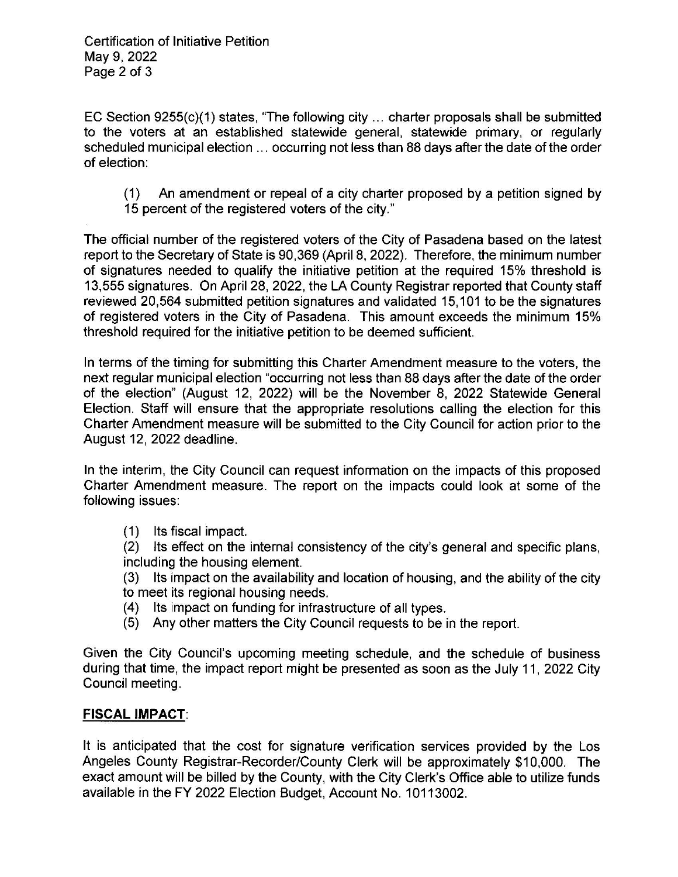EC Section 9255(c)(1) states, "The following city ... charter proposals shall be submitted to the voters at an established statewide general, statewide primary, or regularly scheduled municipal election ... occurring not less than 88 days after the date of the order of election:

(1) An amendment or repeal of a city charter proposed by a petition signed by 15 percent of the registered voters of the city."

The official number of the registered voters of the City of Pasadena based on the latest report to the Secretary of State is 90,369 (April 8, 2022). Therefore, the minimum number of signatures needed to qualify the initiative petition at the required 15% threshold is 13,555 signatures. On April 28, 2022, the LA County Registrar reported that County staff reviewed 20,564 submitted petition signatures and validated 15,101 to be the signatures of registered voters in the City of Pasadena. This amount exceeds the minimum 15% threshold required for the initiative petition to be deemed sufficient.

In terms of the timing for submitting this Charter Amendment measure to the voters, the next regular municipal election "occurring not less than 88 days after the date of the order of the election" (August 12, 2022) will be the November 8, 2022 Statewide General Election. Staff will ensure that the appropriate resolutions calling the election for this Charter Amendment measure will be submitted to the City Council for action prior to the August 12, 2022 deadline.

In the interim, the City Council can request information on the impacts of this proposed Charter Amendment measure. The report on the impacts could look at some of the following issues:

(1) Its fiscal impact.

(2) Its effect on the internal consistency of the city's general and specific plans, including the housing element.

(3) Its impact on the availability and location of housing, and the ability of the city to meet its regional housing needs.

- (4) Its impact on funding for infrastructure of all types.
- (5) Any other matters the City Council requests to be in the report.

Given the City Council's upcoming meeting schedule, and the schedule of business during that time, the impact report might be presented as soon as the July 11, 2022 City Council meeting.

## **FISCAL IMPACT:**

It is anticipated that the cost for signature verification services provided by the Los Angeles County Registrar-Recorder/County Clerk will be approximately \$10,000. The exact amount will be billed by the County, with the City Clerk's Office able to utilize funds available in the FY 2022 Election Budget, Account No. 10113002.